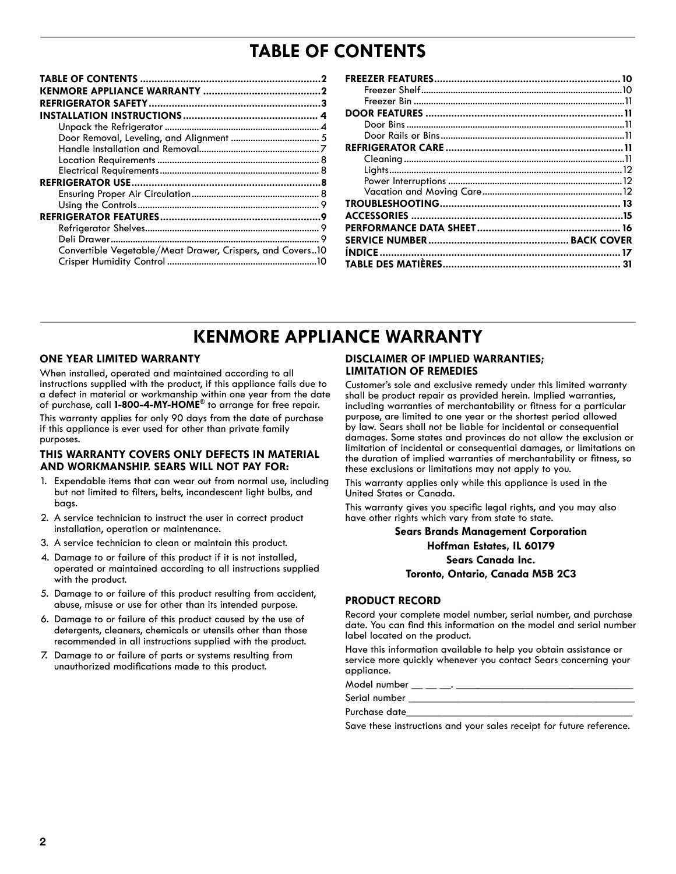# **TABLE OF CONTENTS**

| Convertible Vegetable/Meat Drawer, Crispers, and Covers10 |  |
|-----------------------------------------------------------|--|
|                                                           |  |

| 31 |
|----|

## **KENMORE APPLIANCE WARRANTY**

### **ONE YEAR LIMITED WARRANTY**

When installed, operated and maintained according to all instructions supplied with the product, if this appliance fails due to a defect in material or workmanship within one year from the date of purchase, call **1-800-4-MY-HOME**® to arrange for free repair. This warranty applies for only 90 days from the date of purchase

if this appliance is ever used for other than private family purposes.

#### **THIS WARRANTY COVERS ONLY DEFECTS IN MATERIAL AND WORKMANSHIP. SEARS WILL NOT PAY FOR:**

- 1. Expendable items that can wear out from normal use, including but not limited to filters, belts, incandescent light bulbs, and bags.
- 2. A service technician to instruct the user in correct product installation, operation or maintenance.
- 3. A service technician to clean or maintain this product.
- 4. Damage to or failure of this product if it is not installed, operated or maintained according to all instructions supplied with the product.
- 5. Damage to or failure of this product resulting from accident, abuse, misuse or use for other than its intended purpose.
- 6. Damage to or failure of this product caused by the use of detergents, cleaners, chemicals or utensils other than those recommended in all instructions supplied with the product.
- 7. Damage to or failure of parts or systems resulting from unauthorized modifications made to this product.

## **DISCLAIMER OF IMPLIED WARRANTIES; LIMITATION OF REMEDIES**

Customer's sole and exclusive remedy under this limited warranty shall be product repair as provided herein. Implied warranties, including warranties of merchantability or fitness for a particular purpose, are limited to one year or the shortest period allowed by law. Sears shall not be liable for incidental or consequential damages. Some states and provinces do not allow the exclusion or limitation of incidental or consequential damages, or limitations on the duration of implied warranties of merchantability or fitness, so these exclusions or limitations may not apply to you.

This warranty applies only while this appliance is used in the United States or Canada.

This warranty gives you specific legal rights, and you may also have other rights which vary from state to state.

> **Sears Brands Management Corporation Hoffman Estates, IL 60179 Sears Canada Inc. Toronto, Ontario, Canada M5B 2C3**

### **PRODUCT RECORD**

Record your complete model number, serial number, and purchase date. You can find this information on the model and serial number label located on the product.

Have this information available to help you obtain assistance or service more quickly whenever you contact Sears concerning your appliance.

Model number  $\_\_\_\_\_\_\_\_\_\_\$ 

Serial number \_\_\_\_\_\_\_\_\_\_\_\_\_\_\_\_\_\_\_\_\_\_\_\_\_\_\_\_\_\_\_\_\_\_\_\_\_\_\_\_\_

Purchase date\_

Save these instructions and your sales receipt for future reference.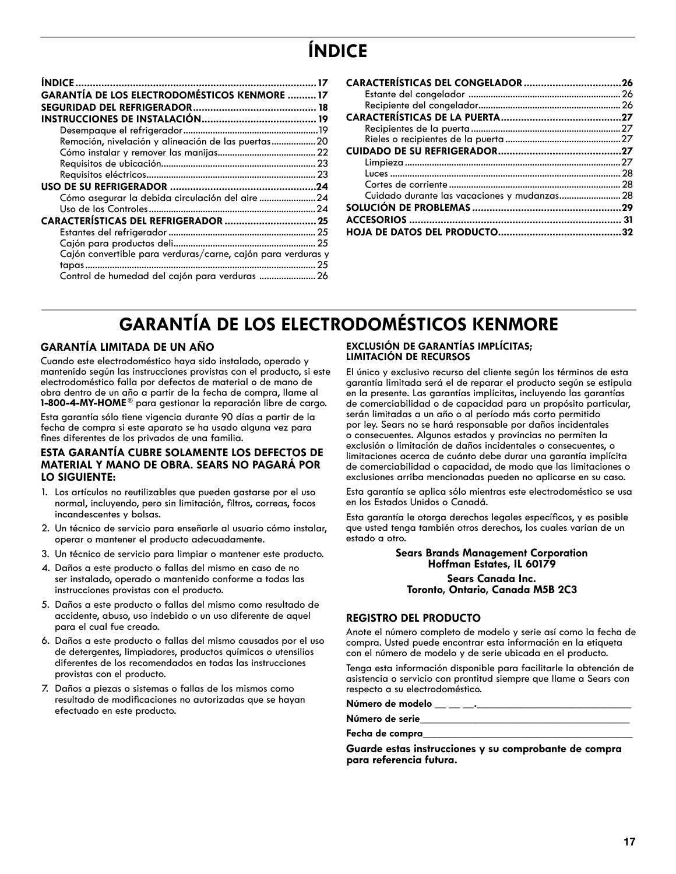# **ÍNDICE**

| <b>GARANTÍA DE LOS ELECTRODOMÉSTICOS KENMORE  17</b>         |    |
|--------------------------------------------------------------|----|
|                                                              |    |
|                                                              |    |
|                                                              |    |
| Remoción, nivelación y alineación de las puertas20           |    |
|                                                              |    |
|                                                              |    |
|                                                              |    |
|                                                              |    |
| Cómo asegurar la debida circulación del aire 24              |    |
|                                                              |    |
|                                                              |    |
|                                                              |    |
|                                                              |    |
| Cajón convertible para verduras/carne, cajón para verduras y |    |
|                                                              | 25 |
| Control de humedad del cajón para verduras  26               |    |

| Cuidado durante las vacaciones y mudanzas 28 |  |
|----------------------------------------------|--|
|                                              |  |
|                                              |  |
|                                              |  |
|                                              |  |

# **GARANTÍA DE LOS ELECTRODOMÉSTICOS KENMORE**

## **GARANTÍA LIMITADA DE UN AÑO**

Cuando este electrodoméstico haya sido instalado, operado y mantenido según las instrucciones provistas con el producto, si este electrodoméstico falla por defectos de material o de mano de obra dentro de un año a partir de la fecha de compra, llame al **1-800-4-MY-HOME** ® para gestionar la reparación libre de cargo.

Esta garantía sólo tiene vigencia durante 90 días a partir de la fecha de compra si este aparato se ha usado alguna vez para fines diferentes de los privados de una familia.

### **ESTA GARANTÍA CUBRE SOLAMENTE LOS DEFECTOS DE MATERIAL Y MANO DE OBRA. SEARS NO PAGARÁ POR LO SIGUIENTE:**

- 1. Los artículos no reutilizables que pueden gastarse por el uso normal, incluyendo, pero sin limitación, filtros, correas, focos incandescentes y bolsas.
- 2. Un técnico de servicio para enseñarle al usuario cómo instalar, operar o mantener el producto adecuadamente.
- 3. Un técnico de servicio para limpiar o mantener este producto.
- 4. Daños a este producto o fallas del mismo en caso de no ser instalado, operado o mantenido conforme a todas las instrucciones provistas con el producto.
- 5. Daños a este producto o fallas del mismo como resultado de accidente, abuso, uso indebido o un uso diferente de aquel para el cual fue creado.
- 6. Daños a este producto o fallas del mismo causados por el uso de detergentes, limpiadores, productos químicos o utensilios diferentes de los recomendados en todas las instrucciones provistas con el producto.
- 7. Daños a piezas o sistemas o fallas de los mismos como resultado de modificaciones no autorizadas que se hayan efectuado en este producto.

#### **EXCLUSIÓN DE GARANTÍAS IMPLÍCITAS; LIMITACIÓN DE RECURSOS**

El único y exclusivo recurso del cliente según los términos de esta garantía limitada será el de reparar el producto según se estipula en la presente. Las garantías implícitas, incluyendo las garantías de comerciabilidad o de capacidad para un propósito particular, serán limitadas a un año o al período más corto permitido por ley. Sears no se hará responsable por daños incidentales o consecuentes. Algunos estados y provincias no permiten la exclusión o limitación de daños incidentales o consecuentes, o limitaciones acerca de cuánto debe durar una garantía implícita de comerciabilidad o capacidad, de modo que las limitaciones o exclusiones arriba mencionadas pueden no aplicarse en su caso.

Esta garantía se aplica sólo mientras este electrodoméstico se usa en los Estados Unidos o Canadá.

Esta garantía le otorga derechos legales específicos, y es posible que usted tenga también otros derechos, los cuales varían de un estado a otro.

## **Sears Brands Management Corporation Hoffman Estates, IL 60179 Sears Canada Inc.**

**Toronto, Ontario, Canada M5B 2C3**

## **REGISTRO DEL PRODUCTO**

Anote el número completo de modelo y serie así como la fecha de compra. Usted puede encontrar esta información en la etiqueta con el número de modelo y de serie ubicada en el producto.

Tenga esta información disponible para facilitarle la obtención de asistencia o servicio con prontitud siempre que llame a Sears con respecto a su electrodoméstico.

**Número de modelo \_\_ \_\_ \_\_.\_\_\_\_\_\_\_\_\_\_\_\_\_\_\_\_\_\_\_\_\_\_\_\_\_\_\_\_**

**Número de serie\_\_\_\_\_\_\_\_\_\_\_\_\_\_\_\_\_\_\_\_\_\_\_\_\_\_\_\_\_\_\_\_\_\_\_\_\_\_**

**Fecha de compra\_\_\_\_\_\_\_\_\_\_\_\_\_\_\_\_\_\_\_\_\_\_\_\_\_\_\_\_\_\_\_\_\_\_\_\_\_\_**

**Guarde estas instrucciones y su comprobante de compra para referencia futura.**